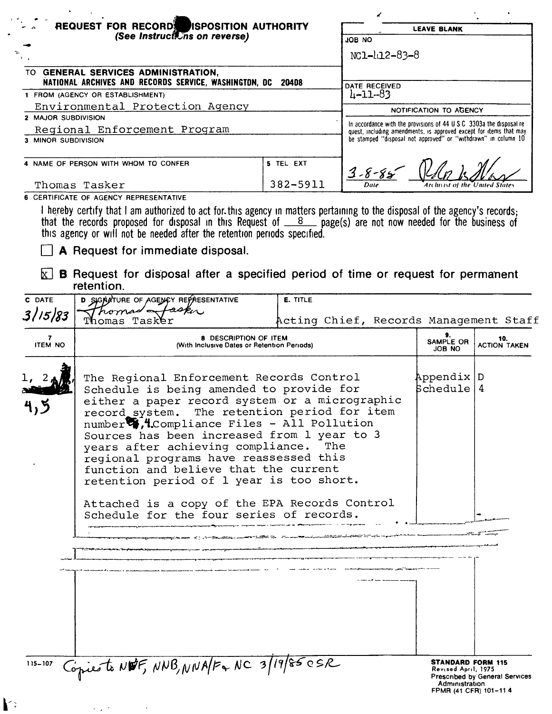| $\frac{1}{2}$<br>REQUEST FOR RECORD ISPOSITION AUTHORITY                                     |           | <b>LEAVE BLANK</b>                                                                                                                          |
|----------------------------------------------------------------------------------------------|-----------|---------------------------------------------------------------------------------------------------------------------------------------------|
| (See Instructions on reverse)                                                                |           | JOB NO                                                                                                                                      |
| n s                                                                                          |           | NC1-412-83-8                                                                                                                                |
| TO GENERAL SERVICES ADMINISTRATION.<br>NATIONAL ARCHIVES AND RECORDS SERVICE, WASHINGTON, DC | 20408     |                                                                                                                                             |
| 1 FROM (AGENCY OR ESTABLISHMENT)                                                             |           | DATE RECEIVED<br>4-11-83                                                                                                                    |
| Environmental Protection Agency                                                              |           | NOTIFICATION TO AGENCY                                                                                                                      |
| 2 MAJOR SUBDIVISION                                                                          |           |                                                                                                                                             |
| Regional Enforcement Program                                                                 |           | In accordance with the provisions of 44 U.S.C. 3303a the disposal re-<br>quest, including amendments, is approved except for items that may |
| 3 MINOR SUBDIVISION                                                                          |           | be stamped "disposal not approved" or "withdrawn" in column 10                                                                              |
| 4 NAME OF PERSON WITH WHOM TO CONFER                                                         | 5 TEL EXT | $3 - 8 - 85$                                                                                                                                |
| Thomas Tasker                                                                                | 382-5911  | Archivist of the United States                                                                                                              |
| 6 CERTIFICATE OF AGENCY REPRESENTATIVE                                                       |           |                                                                                                                                             |

this agency or will not be needed after the retention periods specified.

A Request for immediate disposal.

 $\hat{\mathbf{v}}$ 

 $\mathbf{r}$ 

 $\mathbf{r}$ 

 $\mathbf{k}$ 

 $\boxed{\times}$  **B** Request for disposal after a specified period of time or request for permanent retention.

| C DATE              | D SIGNATURE OF AGENCY REPRESENTATIVE                                                                                                                                                                                                                                                                                                                                                                                                                                                                                                                   | <b>E. TITLE</b>                        |                                                                                            |                                       |
|---------------------|--------------------------------------------------------------------------------------------------------------------------------------------------------------------------------------------------------------------------------------------------------------------------------------------------------------------------------------------------------------------------------------------------------------------------------------------------------------------------------------------------------------------------------------------------------|----------------------------------------|--------------------------------------------------------------------------------------------|---------------------------------------|
| 3/15/83             | homas etaska<br>homas Tasker                                                                                                                                                                                                                                                                                                                                                                                                                                                                                                                           | Acting Chief, Records Management Staff |                                                                                            |                                       |
| 7<br><b>ITEM NO</b> | 8 DESCRIPTION OF ITEM<br>(With Inclusive Dates or Retention Periods)                                                                                                                                                                                                                                                                                                                                                                                                                                                                                   |                                        | 9.<br>SAMPLE OR<br>JOB NO                                                                  | 10.<br><b>ACTION TAKEN</b>            |
|                     | The Regional Enforcement Records Control<br>Schedule is being amended to provide for<br>either a paper record system or a micrographic<br>record system. The retention period for item<br>number 7.4. Compliance Files - All Pollution<br>Sources has been increased from 1 year to 3<br>years after achieving compliance.<br>regional programs have reassessed this<br>function and believe that the current<br>retention period of 1 year is too short.<br>Attached is a copy of the EPA Records Control<br>Schedule for the four series of records. | The                                    | Appendix D<br>  Schedule   4                                                               |                                       |
|                     |                                                                                                                                                                                                                                                                                                                                                                                                                                                                                                                                                        |                                        |                                                                                            |                                       |
|                     |                                                                                                                                                                                                                                                                                                                                                                                                                                                                                                                                                        |                                        |                                                                                            |                                       |
|                     |                                                                                                                                                                                                                                                                                                                                                                                                                                                                                                                                                        |                                        |                                                                                            |                                       |
|                     |                                                                                                                                                                                                                                                                                                                                                                                                                                                                                                                                                        |                                        |                                                                                            |                                       |
|                     |                                                                                                                                                                                                                                                                                                                                                                                                                                                                                                                                                        |                                        |                                                                                            |                                       |
| 115-107             | Copiesto NWF, NNB, NNA/F+ NC 3/19/85 OSR                                                                                                                                                                                                                                                                                                                                                                                                                                                                                                               |                                        | <b>STANDARD FORM 115</b><br>Revised April, 1975<br>Administration<br>FPMR (41 CFR) 101-114 | <b>Prescribed by General Services</b> |
|                     |                                                                                                                                                                                                                                                                                                                                                                                                                                                                                                                                                        |                                        |                                                                                            |                                       |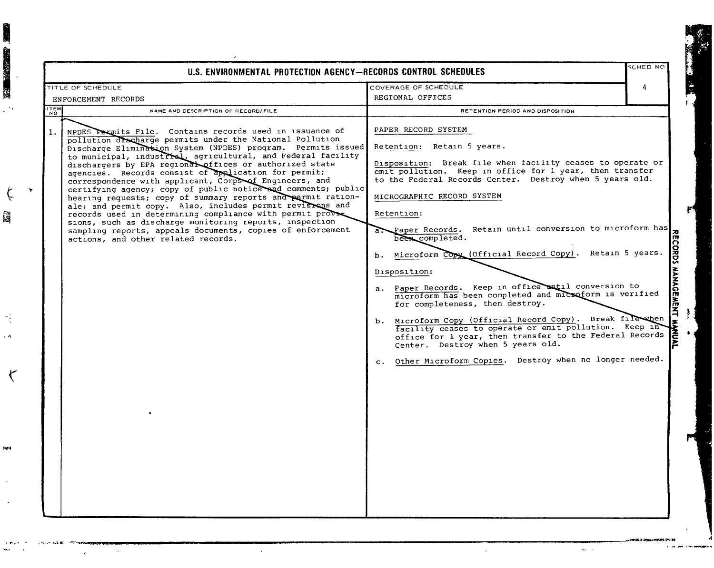|             | U.S. ENVIRONMENTAL PROTECTION AGENCY-RECORDS CONTROL SCHEDULES                                                                                                                                                                                                                                                                                                                                                                                                                                                                                                                                                                                                                                                                                                                                                                                              |                                                                                                                                                                                                                                                                                                                                                                                                                                                                                                                                                                                                                                                                                                                                                                                                                                                                                                                                                    | <b>CHED NO</b> |
|-------------|-------------------------------------------------------------------------------------------------------------------------------------------------------------------------------------------------------------------------------------------------------------------------------------------------------------------------------------------------------------------------------------------------------------------------------------------------------------------------------------------------------------------------------------------------------------------------------------------------------------------------------------------------------------------------------------------------------------------------------------------------------------------------------------------------------------------------------------------------------------|----------------------------------------------------------------------------------------------------------------------------------------------------------------------------------------------------------------------------------------------------------------------------------------------------------------------------------------------------------------------------------------------------------------------------------------------------------------------------------------------------------------------------------------------------------------------------------------------------------------------------------------------------------------------------------------------------------------------------------------------------------------------------------------------------------------------------------------------------------------------------------------------------------------------------------------------------|----------------|
|             | TITLE OF SCHEDULE                                                                                                                                                                                                                                                                                                                                                                                                                                                                                                                                                                                                                                                                                                                                                                                                                                           | COVERAGE OF SCHEDULE                                                                                                                                                                                                                                                                                                                                                                                                                                                                                                                                                                                                                                                                                                                                                                                                                                                                                                                               | 4              |
|             | ENFORCEMENT RECORDS                                                                                                                                                                                                                                                                                                                                                                                                                                                                                                                                                                                                                                                                                                                                                                                                                                         | REGIONAL OFFICES                                                                                                                                                                                                                                                                                                                                                                                                                                                                                                                                                                                                                                                                                                                                                                                                                                                                                                                                   |                |
| <b>ITEM</b> | NAME AND DESCRIPTION OF RECORD/FILE                                                                                                                                                                                                                                                                                                                                                                                                                                                                                                                                                                                                                                                                                                                                                                                                                         | RETENTION PERIOD AND DISPOSITION                                                                                                                                                                                                                                                                                                                                                                                                                                                                                                                                                                                                                                                                                                                                                                                                                                                                                                                   |                |
| 1.          | NPDES Permits File. Contains records used in issuance of<br>pollution discharge permits under the National Pollution<br>Discharge Elimination System (NPDES) program. Permits issued<br>to municipal, industrial, agricultural, and Federal facility<br>dischargers by EPA regional offices or authorized state<br>agencies. Records consist of application for permit;<br>correspondence with applicant, Corps of Engineers, and<br>certifying agency; copy of public notice and comments; public<br>hearing requests; copy of summary reports and permit ration-<br>ale; and permit copy. Also, includes permit revisions and<br>records used in determining compliance with permit prove<br>sions, such as discharge monitoring reports, inspection<br>sampling reports, appeals documents, copies of enforcement<br>actions, and other related records. | PAPER RECORD SYSTEM<br>Retention: Retain 5 years.<br>Disposition: Break file when facility ceases to operate or<br>emit pollution. Keep in office for l year, then transfer<br>to the Federal Records Center. Destroy when 5 years old.<br>MICROGRAPHIC RECORD SYSTEM<br>Retention:<br>a. Paper Records. Retain until conversion to microform has<br>been completed.<br>b. Microform Copy (Official Record Copy). Retain 5 years.<br>Disposition:<br>a. Paper Records. Keep in office watil conversion to<br>microform has been completed and microform is verified<br>for completeness, then destroy.<br>b. Microform Copy (Official Record Copy). Break filewhen<br>Microform Copy (Official Record Copy). Break filewinen<br>facility ceases to operate or emit pollution. Keep in<br>office for 1 year, then transfer to the Federal Records<br>Center. Destroy when 5 years old.<br>c. Other Microform Copies. Destroy when no longer needed. |                |

 $\alpha$ 

 $\alpha_{\rm S}$  ,  $\alpha_{\rm S}$ 

 $\hat{\mathcal{L}}$ 

1999年 第一次的复数 1999年 1999年

 $\boldsymbol{\zeta}$ 

圝

e م

 $\zeta$ 

**NP4**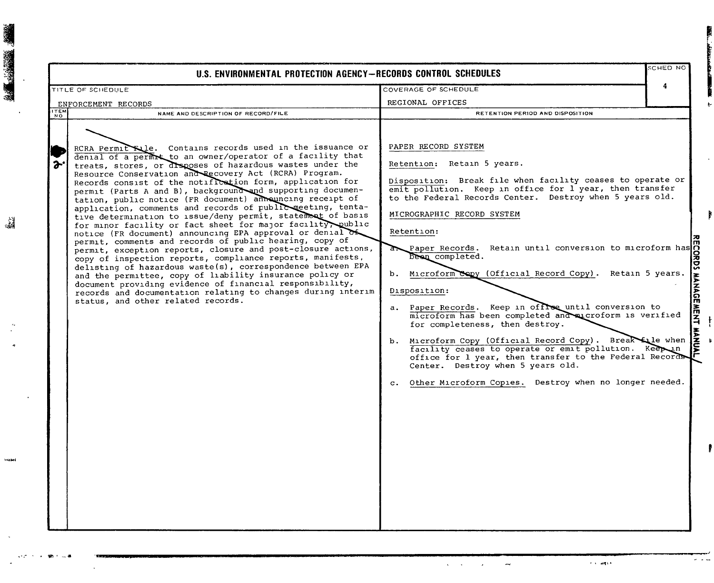|             | U.S. ENVIRONMENTAL PROTECTION AGENCY-RECORDS CONTROL SCHEDULES                                                                                                                                                                                                                                                                                                                                                                                                                                                                                                                                                                                                                                                                                                                                                                                                                                                                                                                                                                                                                                                                                                                          |                                                                                                                                                                                                                                                                                                                                                                                                                                                                                                                                                                                                                                                                                                                                                                                                                                             | SCHED NO |
|-------------|-----------------------------------------------------------------------------------------------------------------------------------------------------------------------------------------------------------------------------------------------------------------------------------------------------------------------------------------------------------------------------------------------------------------------------------------------------------------------------------------------------------------------------------------------------------------------------------------------------------------------------------------------------------------------------------------------------------------------------------------------------------------------------------------------------------------------------------------------------------------------------------------------------------------------------------------------------------------------------------------------------------------------------------------------------------------------------------------------------------------------------------------------------------------------------------------|---------------------------------------------------------------------------------------------------------------------------------------------------------------------------------------------------------------------------------------------------------------------------------------------------------------------------------------------------------------------------------------------------------------------------------------------------------------------------------------------------------------------------------------------------------------------------------------------------------------------------------------------------------------------------------------------------------------------------------------------------------------------------------------------------------------------------------------------|----------|
|             | TITLE OF SCHEDULE                                                                                                                                                                                                                                                                                                                                                                                                                                                                                                                                                                                                                                                                                                                                                                                                                                                                                                                                                                                                                                                                                                                                                                       | COVERAGE OF SCHEDULE                                                                                                                                                                                                                                                                                                                                                                                                                                                                                                                                                                                                                                                                                                                                                                                                                        | 4        |
|             | ENFORCEMENT RECORDS                                                                                                                                                                                                                                                                                                                                                                                                                                                                                                                                                                                                                                                                                                                                                                                                                                                                                                                                                                                                                                                                                                                                                                     | REGIONAL OFFICES                                                                                                                                                                                                                                                                                                                                                                                                                                                                                                                                                                                                                                                                                                                                                                                                                            |          |
| <b>ITEM</b> | NAME AND DESCRIPTION OF RECORD/FILE                                                                                                                                                                                                                                                                                                                                                                                                                                                                                                                                                                                                                                                                                                                                                                                                                                                                                                                                                                                                                                                                                                                                                     | RETENTION PERIOD AND DISPOSITION                                                                                                                                                                                                                                                                                                                                                                                                                                                                                                                                                                                                                                                                                                                                                                                                            |          |
|             | RCRA Permit File. Contains records used in the issuance or<br>denial of a permit to an owner/operator of a facility that<br>treats, stores, or disposes of hazardous wastes under the<br>Resource Conservation and Recovery Act (RCRA) Program.<br>Records consist of the notification form, application for<br>permit (Parts A and B), background and supporting documen-<br>tation, public notice (FR document) announcing receipt of<br>application, comments and records of public meeting, tenta-<br>tive determination to issue/deny permit, statement of basis<br>for minor facility or fact sheet for major facility, public<br>notice (FR document) announcing EPA approval or denial of<br>permit, comments and records of public hearing, copy of<br>permit, exception reports, closure and post-closure actions,<br>copy of inspection reports, compliance reports, manifests,<br>delisting of hazardous waste(s), correspondence between EPA<br>and the permittee, copy of liability insurance policy or<br>document providing evidence of financial responsibility,<br>records and documentation relating to changes during interim<br>status, and other related records. | PAPER RECORD SYSTEM<br>Retention: Retain 5 years.<br>Disposition: Break file when facility ceases to operate or<br>emit pollution. Keep in office for l year, then transfer<br>to the Federal Records Center. Destroy when 5 years old.<br>MICROGRAPHIC RECORD SYSTEM<br>Retention:<br>Paper Records. Retain until conversion to microform has<br>been completed.<br>b. Microform Copy (Official Record Copy). Retain 5 years.<br>Disposition:<br>a. Paper Records. Keep in offlee until conversion to<br>microform has been completed and aucroform is verified<br>for completeness, then destroy.<br>b. Microform Copy (Official Record Copy). Breakfile when facility ceases to operate or emit pollution. Keeping office for 1 year, then transfer to the Federal Records.<br>c. Other Microform Copies. Destroy when no longer needed. |          |

論

 $r$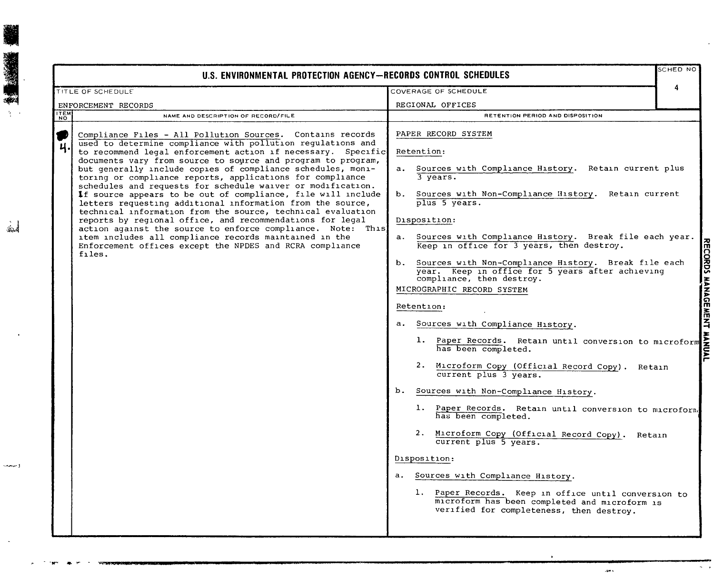|             | U.S. ENVIRONMENTAL PROTECTION AGENCY—RECORDS CONTROL SCHEDULES                                                                                                                                                                                                                                                                                                                                                                                                                                                                                                                                                                                                                                                                                                                                                                                                                                                |                                                                                                                                                                                                                                                                                                                                                                                                                                                                                                                                                                                                                                                                                                                                                                                                                                                                                                                                                                                                                                                                                                                                    | SCHED NO |
|-------------|---------------------------------------------------------------------------------------------------------------------------------------------------------------------------------------------------------------------------------------------------------------------------------------------------------------------------------------------------------------------------------------------------------------------------------------------------------------------------------------------------------------------------------------------------------------------------------------------------------------------------------------------------------------------------------------------------------------------------------------------------------------------------------------------------------------------------------------------------------------------------------------------------------------|------------------------------------------------------------------------------------------------------------------------------------------------------------------------------------------------------------------------------------------------------------------------------------------------------------------------------------------------------------------------------------------------------------------------------------------------------------------------------------------------------------------------------------------------------------------------------------------------------------------------------------------------------------------------------------------------------------------------------------------------------------------------------------------------------------------------------------------------------------------------------------------------------------------------------------------------------------------------------------------------------------------------------------------------------------------------------------------------------------------------------------|----------|
|             | TITLE OF SCHEDULE                                                                                                                                                                                                                                                                                                                                                                                                                                                                                                                                                                                                                                                                                                                                                                                                                                                                                             | COVERAGE OF SCHEDULE                                                                                                                                                                                                                                                                                                                                                                                                                                                                                                                                                                                                                                                                                                                                                                                                                                                                                                                                                                                                                                                                                                               | 4        |
|             | ENFORCEMENT RECORDS                                                                                                                                                                                                                                                                                                                                                                                                                                                                                                                                                                                                                                                                                                                                                                                                                                                                                           | REGIONAL OFFICES                                                                                                                                                                                                                                                                                                                                                                                                                                                                                                                                                                                                                                                                                                                                                                                                                                                                                                                                                                                                                                                                                                                   |          |
| <b>NALL</b> | NAME AND DESCRIPTION OF RECORD/FILE                                                                                                                                                                                                                                                                                                                                                                                                                                                                                                                                                                                                                                                                                                                                                                                                                                                                           | RETENTION PERIOD AND DISPOSITION                                                                                                                                                                                                                                                                                                                                                                                                                                                                                                                                                                                                                                                                                                                                                                                                                                                                                                                                                                                                                                                                                                   |          |
| ₩           | Compliance Files - All Pollution Sources. Contains records<br>used to determine compliance with pollution regulations and<br>to recommend legal enforcement action if necessary. Specific<br>documents vary from source to source and program to program,<br>but generally include copies of compliance schedules, moni-<br>toring or compliance reports, applications for compliance<br>schedules and requests for schedule waiver or modification.<br>If source appears to be out of compliance, file will include<br>letters requesting additional information from the source,<br>technical information from the source, technical evaluation<br>reports by reqional office, and recommendations for legal<br>action against the source to enforce compliance. Note: This<br>item includes all compliance records maintained in the<br>Enforcement offices except the NPDES and RCRA compliance<br>files. | PAPER RECORD SYSTEM<br>Retention:<br>a. Sources with Compliance History. Retain current plus<br>3 years.<br>Sources with Non-Compliance History. Retain current<br>b.<br>plus 5 years.<br>Disposition:<br>a. Sources with Compliance History. Break file each year.<br>Keep in office for 3 years, then destroy.<br>b. Sources with Non-Compliance History. Break file each<br>year. Keep in office for 5 years after achieving<br>compliance, then destroy.<br>MICROGRAPHIC RECORD SYSTEM<br>Retention:<br>a. Sources with Compliance History.<br>1. Paper Records. Retain until conversion to microform<br>has been completed.<br>2. Microform Copy (Official Record Copy). Retain<br>current plus 3 years.<br>b. Sources with Non-Compliance History.<br>1. Paper Records. Retain until conversion to microform<br>has been completed.<br>2. Microform Copy (Official Record Copy). Retain<br>current plus 5 years.<br>Disposition:<br>a. Sources with Compliance History.<br>1. Paper Records. Keep in office until conversion to<br>microform has been completed and microform is<br>verified for completeness, then destroy. |          |

 $\Delta m$  s

أمنعه

same.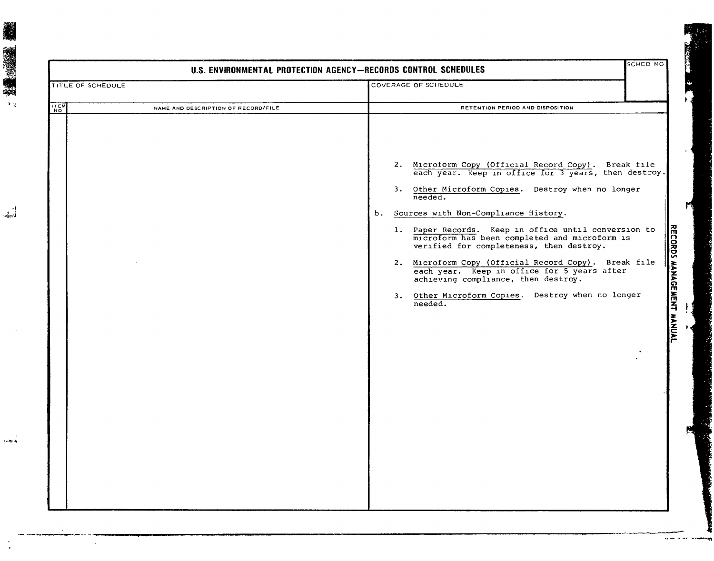| TITLE OF SCHEDULE                                  | COVERAGE OF SCHEDULE                                                                                                                                                                                                                                                                                                                                                                                                                                                                                                                                                                       |
|----------------------------------------------------|--------------------------------------------------------------------------------------------------------------------------------------------------------------------------------------------------------------------------------------------------------------------------------------------------------------------------------------------------------------------------------------------------------------------------------------------------------------------------------------------------------------------------------------------------------------------------------------------|
| <b>THEM</b><br>NAME AND DESCRIPTION OF RECORD/FILE | RETENTION PERIOD AND DISPOSITION                                                                                                                                                                                                                                                                                                                                                                                                                                                                                                                                                           |
|                                                    | 2. Microform Copy (Official Record Copy). Break file<br>each year. Keep in office for 3 years, then destroy.<br>3. Other Microform Copies. Destroy when no longer needed.<br>Sources with Non-Compliance History.<br>b.<br>1. Paper Records. Keep in office until conversion to<br>microform has been completed and microform is<br>verified for completeness, then destroy.<br>2. Microform Copy (Official Record Copy). Break file<br>each year. Keep in office for 5 years after<br>achieving compliance, then destroy.<br>3. Other Microform Copies. Destroy when no longer<br>needed. |

 $\tilde{\mathcal{A}}_{\rm rel}$ 

Ŷ.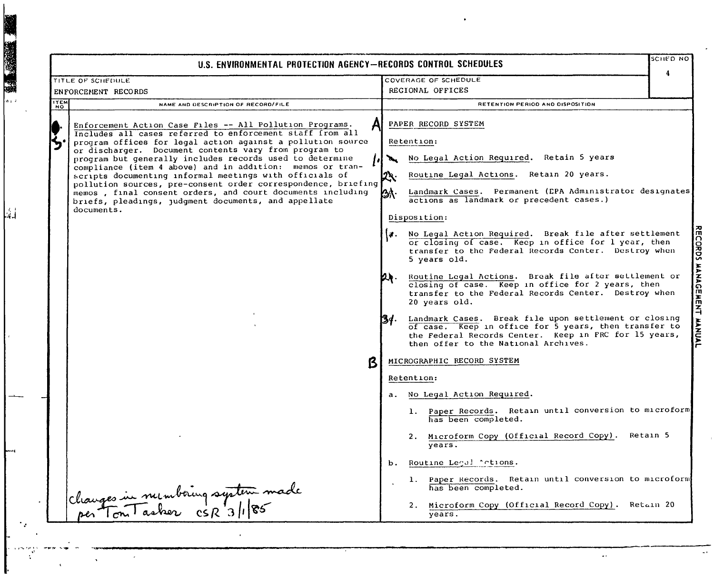$CHEDNO$ U.S. ENVIRONMENTAL PROTECTION AGENCY-RECORDS CONTROL SCHEDULES  $\overline{a}$ TITLE OF SCHEDULE COVERAGE OF SCHEDULE REGIONAL OFFICES ENFORCEMENT RECORDS **ITEM** NAME AND DESCRIPTION OF RECORD/FILE RETENTION PERIOD AND DISPOSITION PAPER RECORD SYSTEM Enforcement Action Case Files -- All Pollution Programs. Includes all cases referred to enforcement staff from all program offices for legal action against a pollution source Retention: or discharger. Document contents vary from program to No Legal Action Required. Retain 5 years program but generally includes records used to determine compliance (item 4 above) and in addition: memos or transcripts documenting informal meetings with officials of Routine Legal Actions. Retain 20 years. pollution sources, pre-consent order correspondence, briefing Landmark Cases. Permanent (EPA Administrator designates memos, final consent orders, and court documents including lsa I actions as landmark or precedent cases.) briefs, pleadings, judgment documents, and appellate documents. Disposition: **EECORDS** a. No Legal Action Required. Break file after settlement or closing of case. Keep in office for 1 year, then transfer to the Federal Records Center. Destroy when 5 years old. **HANAGEME** Routine Legal Actions. Break file after settlement or **Dr.** closing of case. Keep in office for 2 years, then transfer to the Federal Records Center. Destroy when 20 vears old. 궃 Landmark Cases. Break file upon settlement or closing 13d. . **EXAMPLE** of case. Keep in office for 5 years, then transfer to the Federal Records Center. Keep in FRC for 15 years, then offer to the National Archives. MICROGRAPHIC RECORD SYSTEM Retention: a. No Legal Action Required. 1. Paper Records. Retain until conversion to microform has been completed. 2. Microform Copy (Official Record Copy). Retain 5  $\overline{years}$ . b. Routine Legal "otions. 1. Paper Records. Retain until conversion to microform Changes in numbering system made has been completed. 2. Microform Copy (Official Record Copy). Retain 20  $\overline{years}$ .

第二次第二章

ريا

 $\ddot{\phantom{a}}$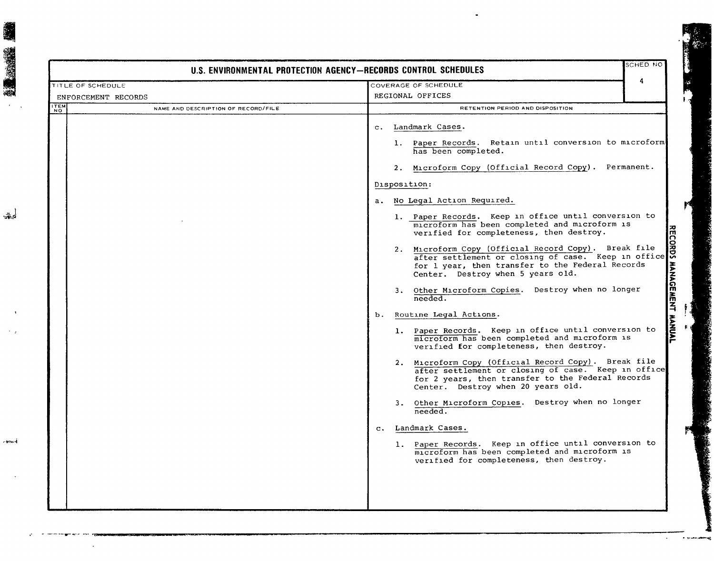|                                    |                                     | U.S. ENVIRONMENTAL PROTECTION AGENCY-RECORDS CONTROL SCHEDULES                                                                                                                                                                                            | SCHED NO |
|------------------------------------|-------------------------------------|-----------------------------------------------------------------------------------------------------------------------------------------------------------------------------------------------------------------------------------------------------------|----------|
| TITLE OF SCHEDULE                  |                                     | COVERAGE OF SCHEDULE                                                                                                                                                                                                                                      | 4        |
| ENFORCEMENT RECORDS<br><b>ITEM</b> |                                     | REGIONAL OFFICES                                                                                                                                                                                                                                          |          |
| <b>NO</b>                          | NAME AND DESCRIPTION OF RECORD/FILE | RETENTION PERIOD AND DISPOSITION                                                                                                                                                                                                                          |          |
|                                    |                                     | c. Landmark Cases.                                                                                                                                                                                                                                        |          |
|                                    |                                     | 1. Paper Records. Retain until conversion to microform<br>has been completed.                                                                                                                                                                             |          |
|                                    |                                     | 2. Microform Copy (Official Record Copy). Permanent.                                                                                                                                                                                                      |          |
|                                    |                                     | Disposition:                                                                                                                                                                                                                                              |          |
|                                    |                                     | a. No Legal Action Required.                                                                                                                                                                                                                              |          |
|                                    |                                     | 1. Paper Records. Keep in office until conversion to<br>microform has been completed and microform is<br>verified for completeness, then destroy.                                                                                                         |          |
|                                    |                                     | Microform Copy (Official Record Copy). Break file<br>after settlement or closing of case. Keep in office<br>2. Microform Copy (Official Record Copy). Break file<br>for 1 year, then transfer to the Federal Records<br>Center. Destroy when 5 years old. |          |
|                                    |                                     | 3. Other Microform Copies. Destroy when no longer<br>needed.                                                                                                                                                                                              |          |
|                                    |                                     | Routine Legal Actions.<br>b.                                                                                                                                                                                                                              |          |
|                                    |                                     | 1. Paper Records. Keep in office until conversion to<br>microform has been completed and microform is<br>verified for completeness, then destroy.                                                                                                         |          |
|                                    |                                     | 2. Microform Copy (Official Record Copy). Break file<br>after settlement or closing of case. Keep in office<br>for 2 years, then transfer to the Federal Records<br>Center. Destroy when 20 years old.                                                    |          |
|                                    |                                     | Other Microform Copies. Destroy when no longer<br>needed.                                                                                                                                                                                                 |          |
|                                    |                                     | c. Landmark Cases.                                                                                                                                                                                                                                        |          |
|                                    |                                     | 1. Paper Records. Keep in office until conversion to<br>microform has been completed and microform is<br>verified for completeness, then destroy.                                                                                                         |          |

- ----W--"- "-" -----

n beras d

**INSTRUCTION** 

 $\frac{R}{2\pi\epsilon_0}$